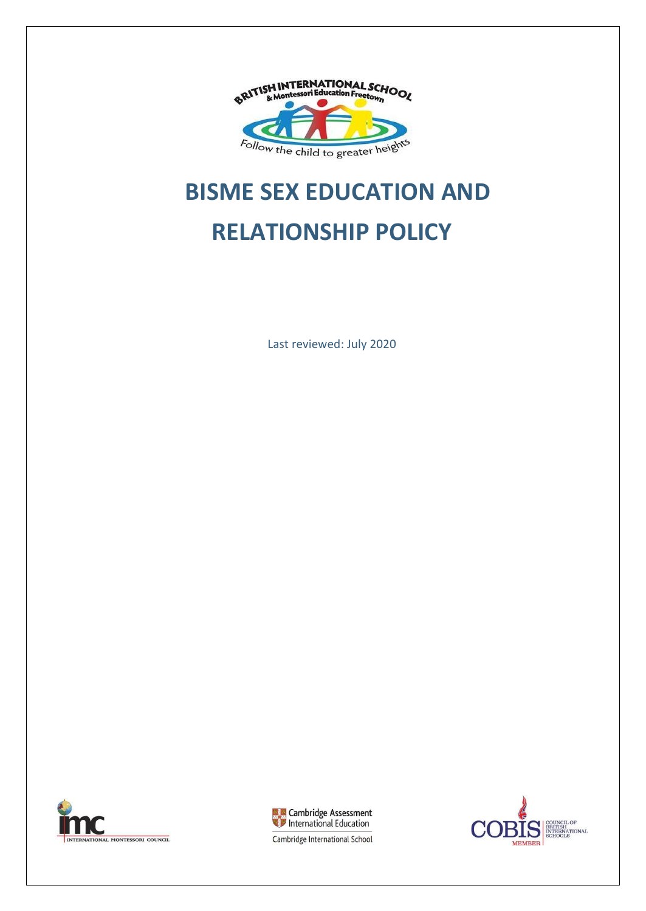

# **BISME SEX EDUCATION AND RELATIONSHIP POLICY**

Last reviewed: July 2020





CIL OF BRITISH<br>INTERNATIONAL<br>SCHOOLS **MEMBER** 

Cambridge International School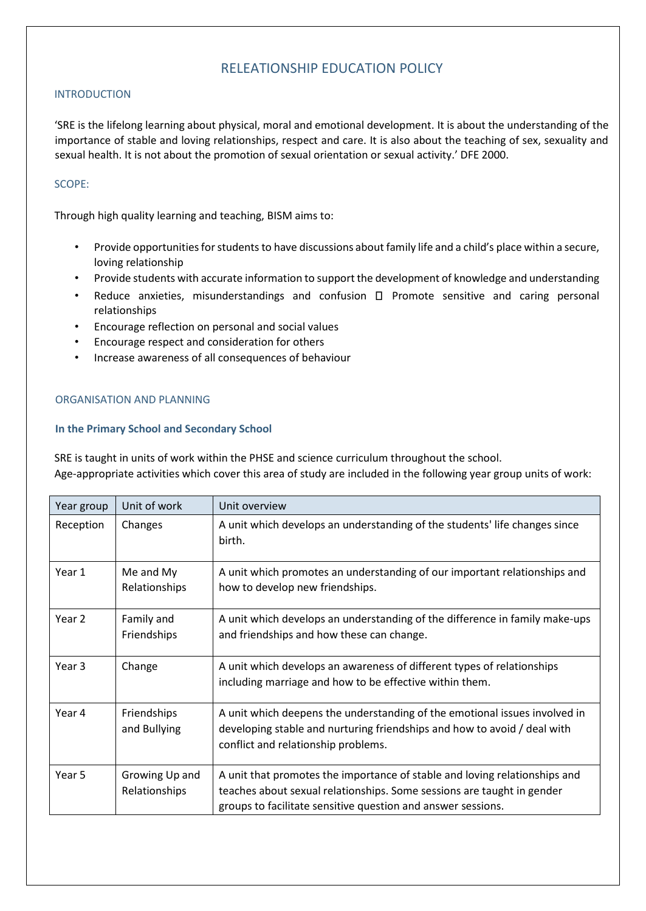# RELEATIONSHIP EDUCATION POLICY

# INTRODUCTION

'SRE is the lifelong learning about physical, moral and emotional development. It is about the understanding of the importance of stable and loving relationships, respect and care. It is also about the teaching of sex, sexuality and sexual health. It is not about the promotion of sexual orientation or sexual activity.' DFE 2000.

### SCOPE:

Through high quality learning and teaching, BISM aims to:

- Provide opportunities for students to have discussions about family life and a child's place within a secure, loving relationship
- Provide students with accurate information to support the development of knowledge and understanding
- Reduce anxieties, misunderstandings and confusion  $\Box$  Promote sensitive and caring personal relationships
- Encourage reflection on personal and social values
- Encourage respect and consideration for others
- Increase awareness of all consequences of behaviour

#### ORGANISATION AND PLANNING

#### **In the Primary School and Secondary School**

SRE is taught in units of work within the PHSE and science curriculum throughout the school. Age-appropriate activities which cover this area of study are included in the following year group units of work:

| Year group | Unit of work                    | Unit overview                                                                                                                                                                                                        |
|------------|---------------------------------|----------------------------------------------------------------------------------------------------------------------------------------------------------------------------------------------------------------------|
| Reception  | Changes                         | A unit which develops an understanding of the students' life changes since<br>birth.                                                                                                                                 |
| Year 1     | Me and My<br>Relationships      | A unit which promotes an understanding of our important relationships and<br>how to develop new friendships.                                                                                                         |
| Year 2     | Family and<br>Friendships       | A unit which develops an understanding of the difference in family make-ups<br>and friendships and how these can change.                                                                                             |
| Year 3     | Change                          | A unit which develops an awareness of different types of relationships<br>including marriage and how to be effective within them.                                                                                    |
| Year 4     | Friendships<br>and Bullying     | A unit which deepens the understanding of the emotional issues involved in<br>developing stable and nurturing friendships and how to avoid / deal with<br>conflict and relationship problems.                        |
| Year 5     | Growing Up and<br>Relationships | A unit that promotes the importance of stable and loving relationships and<br>teaches about sexual relationships. Some sessions are taught in gender<br>groups to facilitate sensitive question and answer sessions. |